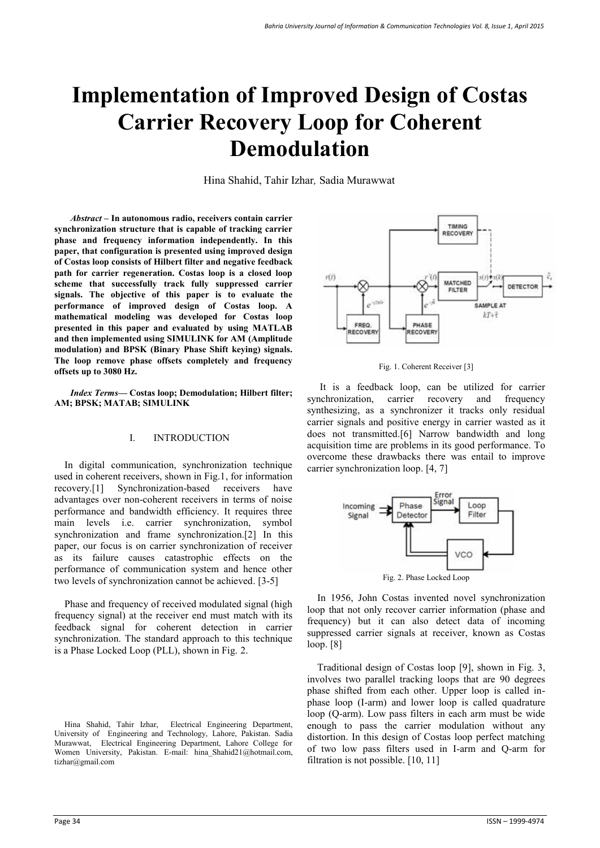# **Implementation of Improved Design of Costas Carrier Recovery Loop for Coherent Demodulation**

Hina Shahid, Tahir Izhar*,* Sadia Murawwat

*Abstract –* **In autonomous radio, receivers contain carrier synchronization structure that is capable of tracking carrier phase and frequency information independently. In this paper, that configuration is presented using improved design of Costas loop consists of Hilbert filter and negative feedback path for carrier regeneration. Costas loop is a closed loop scheme that successfully track fully suppressed carrier signals. The objective of this paper is to evaluate the performance of improved design of Costas loop. A mathematical modeling was developed for Costas loop presented in this paper and evaluated by using MATLAB and then implemented using SIMULINK for AM (Amplitude modulation) and BPSK (Binary Phase Shift keying) signals. The loop remove phase offsets completely and frequency offsets up to 3080 Hz.** 

 *Index Terms***— Costas loop; Demodulation; Hilbert filter; AM; BPSK; MATAB; SIMULINK** 

## I. INTRODUCTION

In digital communication, synchronization technique used in coherent receivers, shown in Fig.1, for information recovery.[1] Synchronization-based receivers have advantages over non-coherent receivers in terms of noise performance and bandwidth efficiency. It requires three main levels i.e. carrier synchronization, symbol synchronization and frame synchronization.[2] In this paper, our focus is on carrier synchronization of receiver as its failure causes catastrophic effects on the performance of communication system and hence other two levels of synchronization cannot be achieved. [3-5]

Phase and frequency of received modulated signal (high frequency signal) at the receiver end must match with its feedback signal for coherent detection in carrier synchronization. The standard approach to this technique is a Phase Locked Loop (PLL), shown in Fig. 2.



Fig. 1. Coherent Receiver [3]

 It is a feedback loop, can be utilized for carrier synchronization, carrier recovery and frequency synthesizing, as a synchronizer it tracks only residual carrier signals and positive energy in carrier wasted as it does not transmitted.[6] Narrow bandwidth and long acquisition time are problems in its good performance. To overcome these drawbacks there was entail to improve carrier synchronization loop. [4, 7]



In 1956, John Costas invented novel synchronization loop that not only recover carrier information (phase and frequency) but it can also detect data of incoming suppressed carrier signals at receiver, known as Costas loop. [8]

Traditional design of Costas loop [9], shown in Fig. 3, involves two parallel tracking loops that are 90 degrees phase shifted from each other. Upper loop is called inphase loop (I-arm) and lower loop is called quadrature loop (Q-arm). Low pass filters in each arm must be wide enough to pass the carrier modulation without any distortion. In this design of Costas loop perfect matching of two low pass filters used in I-arm and Q-arm for filtration is not possible. [10, 11]

Hina Shahid, Tahir Izhar, Electrical Engineering Department, University of Engineering and Technology, Lahore, Pakistan. Sadia Murawwat, Electrical Engineering Department, Lahore College for Women University, Pakistan. E-mail: hina Shahid21@hotmail.com, tizhar@gmail.com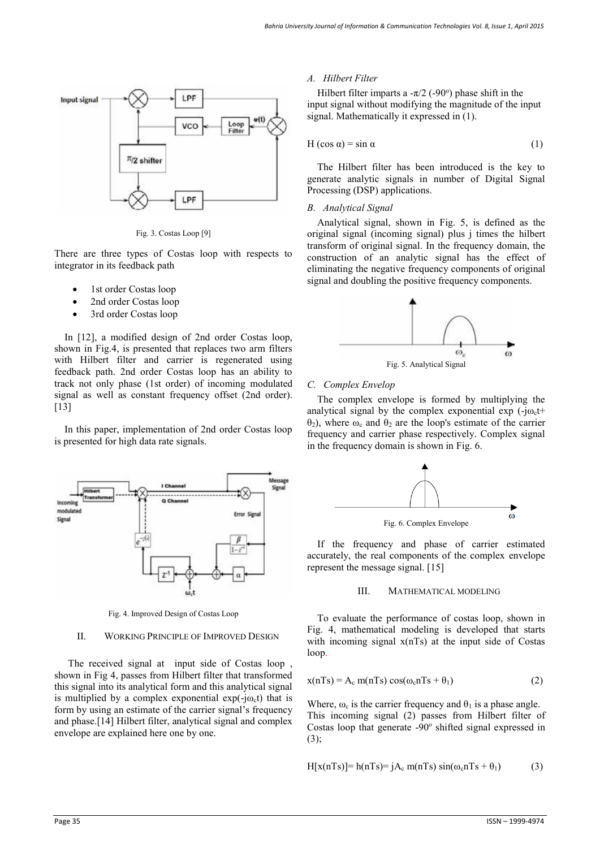

Fig. 3. Costas Loop [9]

There are three types of Costas loop with respects to integrator in its feedback path

- 1st order Costas loop
- 2nd order Costas loop
- 3rd order Costas loop

In [12], a modified design of 2nd order Costas loop, shown in Fig.4, is presented that replaces two arm filters with Hilbert filter and carrier is regenerated using feedback path. 2nd order Costas loop has an ability to track not only phase (1st order) of incoming modulated signal as well as constant frequency offset (2nd order). [13]

In this paper, implementation of 2nd order Costas loop is presented for high data rate signals.



Fig. 4. Improved Design of Costas Loop

## II. WORKING PRINCIPLE OF IMPROVED DESIGN

The received signal at input side of Costas loop , shown in Fig 4, passes from Hilbert filter that transformed this signal into its analytical form and this analytical signal is multiplied by a complex exponential  $exp(-j\omega_c t)$  that is form by using an estimate of the carrier signal's frequency and phase.[14] Hilbert filter, analytical signal and complex envelope are explained here one by one.

### *A. Hilbert Filter*

Hilbert filter imparts a  $-\pi/2$  (-90°) phase shift in the input signal without modifying the magnitude of the input signal. Mathematically it expressed in (1).

$$
H(\cos \alpha) = \sin \alpha \tag{1}
$$

The Hilbert filter has been introduced is the key to generate analytic signals in number of Digital Signal Processing (DSP) applications.

#### *B. Analytical Signal*

Analytical signal, shown in Fig. 5, is defined as the original signal (incoming signal) plus j times the hilbert transform of original signal. In the frequency domain, the construction of an analytic signal has the effect of eliminating the negative frequency components of original signal and doubling the positive frequency components.



#### *C. Complex Envelop*

The complex envelope is formed by multiplying the analytical signal by the complex exponential exp  $(-j\omega_c t)$  $θ_2$ ), where  $ω_0$  and  $θ_2$  are the loop's estimate of the carrier frequency and carrier phase respectively. Complex signal in the frequency domain is shown in Fig. 6.



If the frequency and phase of carrier estimated accurately, the real components of the complex envelope represent the message signal. [15]

## III. MATHEMATICAL MODELING

To evaluate the performance of costas loop, shown in Fig. 4, mathematical modeling is developed that starts with incoming signal  $x(nTs)$  at the input side of Costas loop.

$$
x(nTs) = A_c \, m(nTs) \cos(\omega_c nTs + \theta_1) \tag{2}
$$

Where,  $\omega_c$  is the carrier frequency and  $\theta_1$  is a phase angle. This incoming signal (2) passes from Hilbert filter of Costas loop that generate -90° shifted signal expressed in (3);

$$
H[x(nTs)] = h(nTs) = jA_c \, m(nTs) \sin(\omega_c nTs + \theta_1) \tag{3}
$$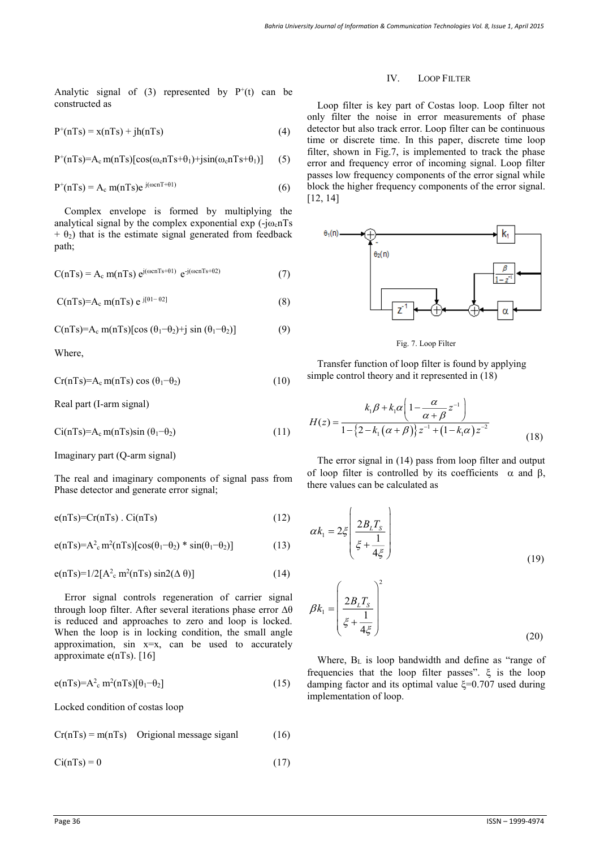Analytic signal of  $(3)$  represented by  $P^+(t)$  can be constructed as

$$
P^{+}(nTs) = x(nTs) + jh(nTs)
$$
\n(4)

$$
P^+(nTs)=A_c \, m(nTs) [\cos(\omega_c nTs+\theta_1) + j\sin(\omega_c nTs+\theta_1)] \qquad (5)
$$

$$
P^{+}(nTs) = A_c \text{ m}(nTs)e^{j(\omega cnT + \theta 1)}
$$
 (6)

Complex envelope is formed by multiplying the analytical signal by the complex exponential  $\exp(-i\omega_c nTs)$  $+ \theta_2$ ) that is the estimate signal generated from feedback path;

$$
C(nTs) = A_c \, m(nTs) \, e^{j(\omega cnTs + \theta 1)} \, e^{-j(\omega cnTs + \theta 2)} \tag{7}
$$

$$
C(nTs)=A_c \; m(nTs) \; e^{\;j[\theta 1-\theta 2]} \tag{8}
$$

$$
C(nTs)=A_c \text{ m}(nTs)[\cos(\theta_1-\theta_2)+j\sin(\theta_1-\theta_2)] \qquad (9)
$$

Where,

$$
Cr(nTs)=A_c m(nTs) \cos(\theta_1-\theta_2) \tag{10}
$$

Real part (I-arm signal)

$$
Ci(nTs)=A_c m(nTs)sin(\theta_1-\theta_2)
$$
\n(11)

Imaginary part (Q-arm signal)

The real and imaginary components of signal pass from Phase detector and generate error signal;

$$
e(nTs) = Cr(nTs) . Ci(nTs)
$$
 (12)

 $e(nTs)=A^2 e^{n^2(nTs)}[cos(\theta_1-\theta_2) * sin(\theta_1-\theta_2)]$  (13)

$$
e(nTs)=1/2[A2c m2(nTs) sin2(\Delta \theta)]
$$
 (14)

Error signal controls regeneration of carrier signal through loop filter. After several iterations phase error  $\Delta\theta$ is reduced and approaches to zero and loop is locked. When the loop is in locking condition, the small angle approximation,  $\sin x=x$ , can be used to accurately approximate  $e(nTs)$ . [16]

$$
e(nTs)=A2_{c} m2(nTs)[\theta1 - \theta2] \qquad (15)
$$

Locked condition of costas loop

 $Cr(nTs) = m(nTs)$  Origional message siganl (16)

 $Ci(nTs) = 0$  (17)

#### IV. LOOP FILTER

Loop filter is key part of Costas loop. Loop filter not only filter the noise in error measurements of phase detector but also track error. Loop filter can be continuous time or discrete time. In this paper, discrete time loop filter, shown in Fig.7, is implemented to track the phase error and frequency error of incoming signal. Loop filter passes low frequency components of the error signal while block the higher frequency components of the error signal. [12, 14]



Fig. 7. Loop Filter

Transfer function of loop filter is found by applying simple control theory and it represented in (18)

$$
H(z) = \frac{k_1 \beta + k_1 \alpha \left(1 - \frac{\alpha}{\alpha + \beta} z^{-1}\right)}{1 - \left\{2 - k_1 \left(\alpha + \beta\right)\right\} z^{-1} + \left(1 - k_1 \alpha\right) z^{-2}}
$$
(18)

The error signal in (14) pass from loop filter and output of loop filter is controlled by its coefficients  $\alpha$  and  $\beta$ , there values can be calculated as

$$
\alpha k_1 = 2\xi \left( \frac{2B_L T_s}{\xi + \frac{1}{4\xi}} \right)
$$
\n(19)

$$
\beta k_1 = \left(\frac{2B_L T_s}{\xi + \frac{1}{4\xi}}\right)^2
$$
\n(20)

Where,  $B_L$  is loop bandwidth and define as "range of frequencies that the loop filter passes".  $\xi$  is the loop damping factor and its optimal value  $\xi$ =0.707 used during implementation of loop.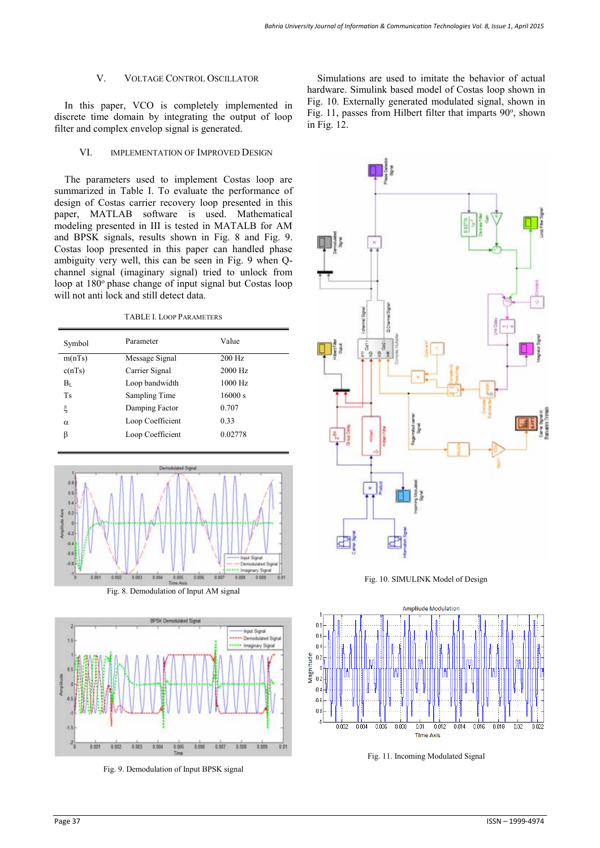## V. VOLTAGE CONTROL OSCILLATOR

In this paper, VCO is completely implemented in discrete time domain by integrating the output of loop filter and complex envelop signal is generated.

## VI. IMPLEMENTATION OF IMPROVED DESIGN

The parameters used to implement Costas loop are summarized in Table I. To evaluate the performance of design of Costas carrier recovery loop presented in this paper, MATLAB software is used. Mathematical modeling presented in III is tested in MATALB for AM and BPSK signals, results shown in Fig. 8 and Fig. 9. Costas loop presented in this paper can handled phase ambiguity very well, this can be seen in Fig. 9 when Qchannel signal (imaginary signal) tried to unlock from loop at 180<sup>°</sup> phase change of input signal but Costas loop will not anti lock and still detect data.

TABLE I. LOOP PARAMETERS

| Symbol      | Parameter        | Value     |
|-------------|------------------|-----------|
| m(nTs)      | Message Signal   | 200 Hz    |
| c(nTs)      | Carrier Signal   | 2000 Hz   |
| $\rm B_{L}$ | Loop bandwidth   | $1000$ Hz |
| <b>Ts</b>   | Sampling Time    | 16000 s   |
| ξ           | Damping Factor   | 0.707     |
| $\alpha$    | Loop Coefficient | 0.33      |
| β           | Loop Coefficient | 0.02778   |
|             |                  |           |



Fig. 8. Demodulation of Input AM signal



Fig. 9. Demodulation of Input BPSK signal

Simulations are used to imitate the behavior of actual hardware. Simulink based model of Costas loop shown in Fig. 10. Externally generated modulated signal, shown in Fig. 11, passes from Hilbert filter that imparts 90°, shown in Fig. 12.



Fig. 10. SIMULINK Model of Design



Fig. 11. Incoming Modulated Signal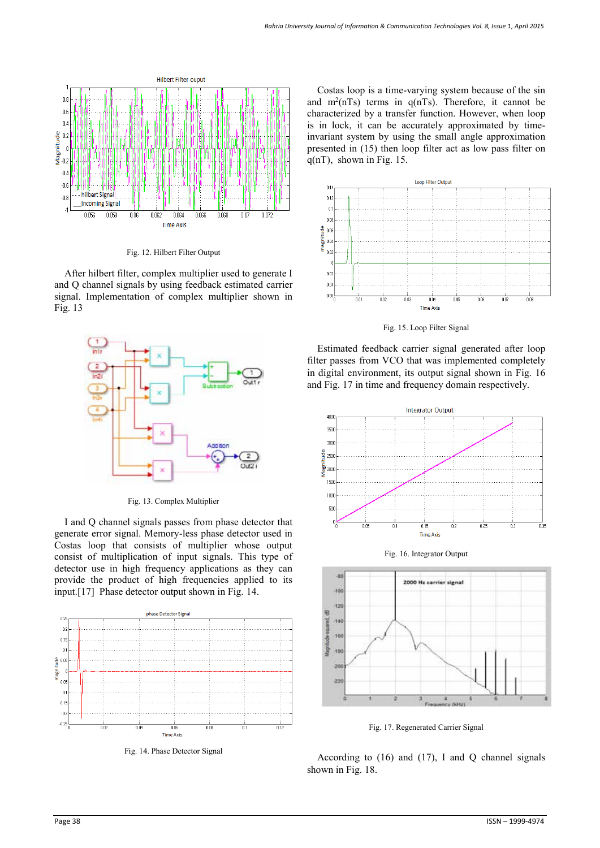

Fig. 12. Hilbert Filter Output

After hilbert filter, complex multiplier used to generate I and Q channel signals by using feedback estimated carrier signal. Implementation of complex multiplier shown in Fig. 13



Fig. 13. Complex Multiplier

I and Q channel signals passes from phase detector that generate error signal. Memory-less phase detector used in Costas loop that consists of multiplier whose output consist of multiplication of input signals. This type of detector use in high frequency applications as they can provide the product of high frequencies applied to its input.[17] Phase detector output shown in Fig. 14.



Fig. 14. Phase Detector Signal

Costas loop is a time-varying system because of the sin and  $m^2(nTs)$  terms in  $q(nTs)$ . Therefore, it cannot be characterized by a transfer function. However, when loop is in lock, it can be accurately approximated by timeinvariant system by using the small angle approximation presented in (15) then loop filter act as low pass filter on  $q(n)$ , shown in Fig. 15.



Fig. 15. Loop Filter Signal

Estimated feedback carrier signal generated after loop filter passes from VCO that was implemented completely in digital environment, its output signal shown in Fig. 16 and Fig. 17 in time and frequency domain respectively.







Fig. 17. Regenerated Carrier Signal

According to  $(16)$  and  $(17)$ , I and Q channel signals shown in Fig. 18.